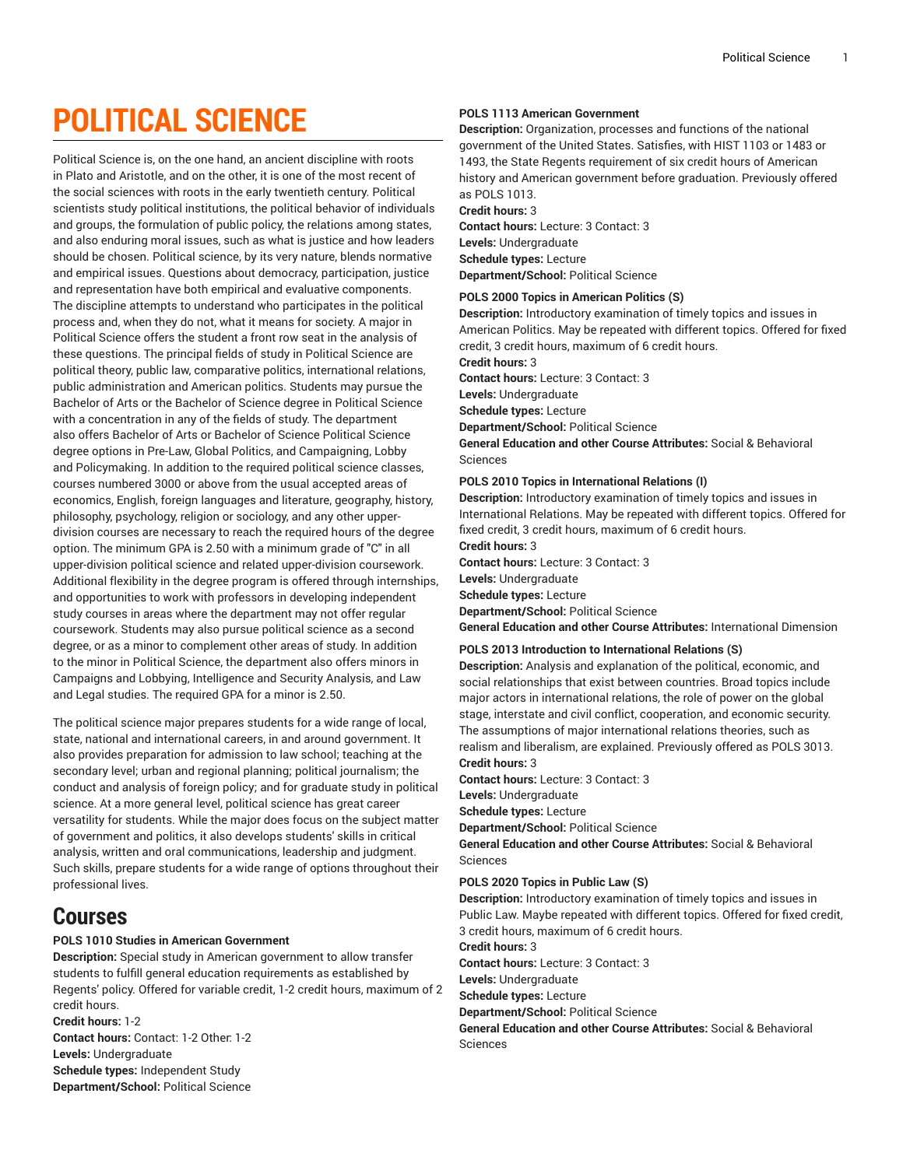# **POLITICAL SCIENCE**

Political Science is, on the one hand, an ancient discipline with roots in Plato and Aristotle, and on the other, it is one of the most recent of the social sciences with roots in the early twentieth century. Political scientists study political institutions, the political behavior of individuals and groups, the formulation of public policy, the relations among states, and also enduring moral issues, such as what is justice and how leaders should be chosen. Political science, by its very nature, blends normative and empirical issues. Questions about democracy, participation, justice and representation have both empirical and evaluative components. The discipline attempts to understand who participates in the political process and, when they do not, what it means for society. A major in Political Science offers the student a front row seat in the analysis of these questions. The principal fields of study in Political Science are political theory, public law, comparative politics, international relations, public administration and American politics. Students may pursue the Bachelor of Arts or the Bachelor of Science degree in Political Science with a concentration in any of the fields of study. The department also offers Bachelor of Arts or Bachelor of Science Political Science degree options in Pre-Law, Global Politics, and Campaigning, Lobby and Policymaking. In addition to the required political science classes, courses numbered 3000 or above from the usual accepted areas of economics, English, foreign languages and literature, geography, history, philosophy, psychology, religion or sociology, and any other upperdivision courses are necessary to reach the required hours of the degree option. The minimum GPA is 2.50 with a minimum grade of "C" in all upper-division political science and related upper-division coursework. Additional flexibility in the degree program is offered through internships, and opportunities to work with professors in developing independent study courses in areas where the department may not offer regular coursework. Students may also pursue political science as a second degree, or as a minor to complement other areas of study. In addition to the minor in Political Science, the department also offers minors in Campaigns and Lobbying, Intelligence and Security Analysis, and Law and Legal studies. The required GPA for a minor is 2.50.

The political science major prepares students for a wide range of local, state, national and international careers, in and around government. It also provides preparation for admission to law school; teaching at the secondary level; urban and regional planning; political journalism; the conduct and analysis of foreign policy; and for graduate study in political science. At a more general level, political science has great career versatility for students. While the major does focus on the subject matter of government and politics, it also develops students' skills in critical analysis, written and oral communications, leadership and judgment. Such skills, prepare students for a wide range of options throughout their professional lives.

## **Courses**

## **POLS 1010 Studies in American Government**

**Description:** Special study in American government to allow transfer students to fulfill general education requirements as established by Regents' policy. Offered for variable credit, 1-2 credit hours, maximum of 2 credit hours.

**Credit hours:** 1-2 **Contact hours:** Contact: 1-2 Other: 1-2 **Levels:** Undergraduate **Schedule types:** Independent Study **Department/School:** Political Science

## **POLS 1113 American Government**

**Description:** Organization, processes and functions of the national government of the United States. Satisfies, with HIST 1103 or 1483 or 1493, the State Regents requirement of six credit hours of American history and American government before graduation. Previously offered as POLS 1013. **Credit hours:** 3

**Contact hours:** Lecture: 3 Contact: 3 **Levels:** Undergraduate **Schedule types:** Lecture **Department/School:** Political Science

## **POLS 2000 Topics in American Politics (S)**

**Description:** Introductory examination of timely topics and issues in American Politics. May be repeated with different topics. Offered for fixed credit, 3 credit hours, maximum of 6 credit hours.

**Credit hours:** 3

**Contact hours:** Lecture: 3 Contact: 3

**Levels:** Undergraduate

**Schedule types:** Lecture

**Department/School:** Political Science

**General Education and other Course Attributes:** Social & Behavioral Sciences

## **POLS 2010 Topics in International Relations (I)**

**Description:** Introductory examination of timely topics and issues in International Relations. May be repeated with different topics. Offered for fixed credit, 3 credit hours, maximum of 6 credit hours. **Credit hours:** 3

**Contact hours:** Lecture: 3 Contact: 3

**Levels:** Undergraduate

**Schedule types:** Lecture

**Department/School:** Political Science

**General Education and other Course Attributes:** International Dimension

## **POLS 2013 Introduction to International Relations (S)**

**Description:** Analysis and explanation of the political, economic, and social relationships that exist between countries. Broad topics include major actors in international relations, the role of power on the global stage, interstate and civil conflict, cooperation, and economic security. The assumptions of major international relations theories, such as realism and liberalism, are explained. Previously offered as POLS 3013. **Credit hours:** 3

**Contact hours:** Lecture: 3 Contact: 3

**Levels:** Undergraduate

**Schedule types:** Lecture

**Department/School:** Political Science

**General Education and other Course Attributes:** Social & Behavioral Sciences

## **POLS 2020 Topics in Public Law (S)**

**Description:** Introductory examination of timely topics and issues in Public Law. Maybe repeated with different topics. Offered for fixed credit, 3 credit hours, maximum of 6 credit hours.

**Credit hours:** 3

**Contact hours:** Lecture: 3 Contact: 3

**Levels:** Undergraduate

**Schedule types:** Lecture

**Department/School:** Political Science

**General Education and other Course Attributes:** Social & Behavioral Sciences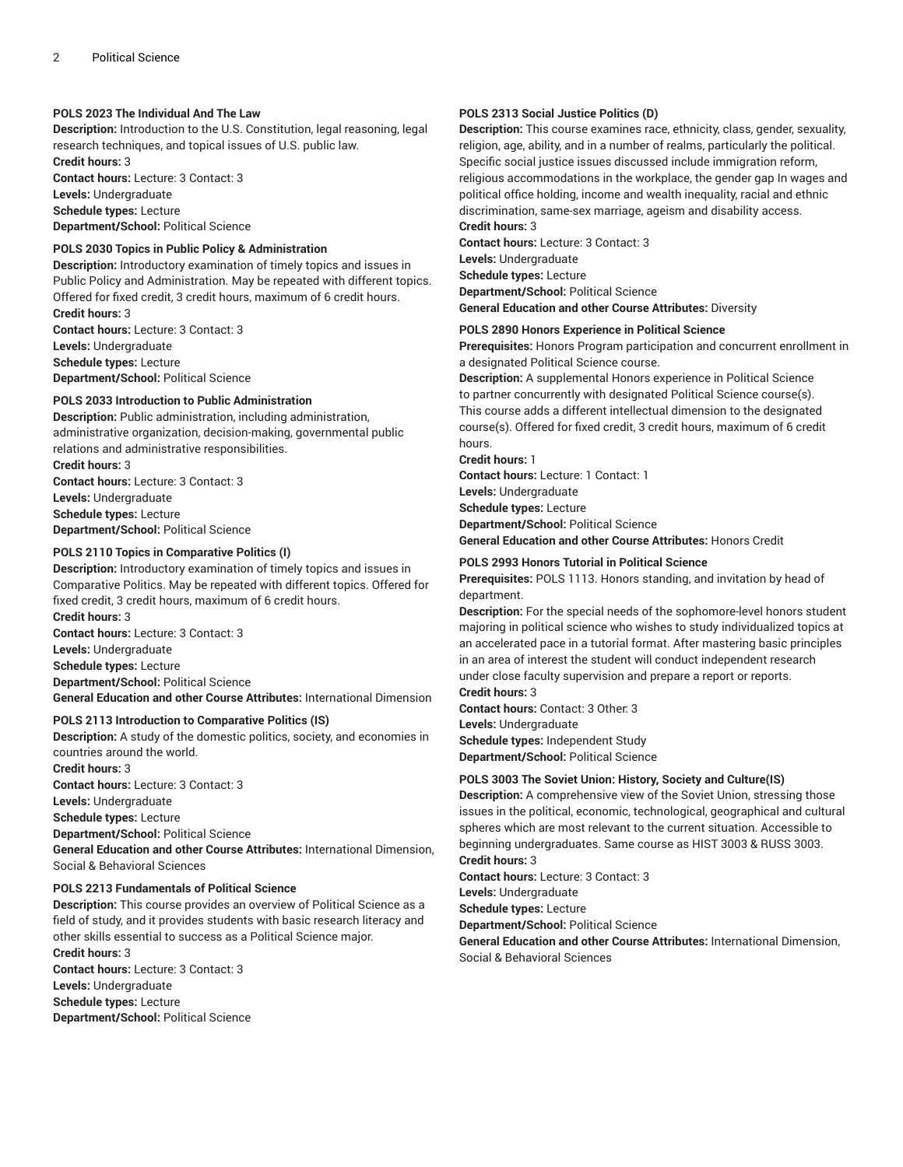## **POLS 2023 The Individual And The Law**

**Description:** Introduction to the U.S. Constitution, legal reasoning, legal research techniques, and topical issues of U.S. public law. **Credit hours:** 3

**Contact hours:** Lecture: 3 Contact: 3 **Levels:** Undergraduate **Schedule types:** Lecture **Department/School:** Political Science

### **POLS 2030 Topics in Public Policy & Administration**

**Description:** Introductory examination of timely topics and issues in Public Policy and Administration. May be repeated with different topics. Offered for fixed credit, 3 credit hours, maximum of 6 credit hours. **Credit hours:** 3 **Contact hours:** Lecture: 3 Contact: 3

**Levels:** Undergraduate **Schedule types:** Lecture **Department/School:** Political Science

#### **POLS 2033 Introduction to Public Administration**

**Description:** Public administration, including administration, administrative organization, decision-making, governmental public relations and administrative responsibilities. **Credit hours:** 3 **Contact hours:** Lecture: 3 Contact: 3 **Levels:** Undergraduate **Schedule types:** Lecture

**Department/School:** Political Science

### **POLS 2110 Topics in Comparative Politics (I)**

**Description:** Introductory examination of timely topics and issues in Comparative Politics. May be repeated with different topics. Offered for fixed credit, 3 credit hours, maximum of 6 credit hours. **Credit hours:** 3 **Contact hours:** Lecture: 3 Contact: 3 **Levels:** Undergraduate

**Schedule types:** Lecture **Department/School:** Political Science

**General Education and other Course Attributes:** International Dimension

## **POLS 2113 Introduction to Comparative Politics (IS)**

**Description:** A study of the domestic politics, society, and economies in countries around the world. **Credit hours:** 3 **Contact hours:** Lecture: 3 Contact: 3 **Levels:** Undergraduate **Schedule types:** Lecture **Department/School:** Political Science **General Education and other Course Attributes:** International Dimension, Social & Behavioral Sciences

### **POLS 2213 Fundamentals of Political Science**

**Description:** This course provides an overview of Political Science as a field of study, and it provides students with basic research literacy and other skills essential to success as a Political Science major. **Credit hours:** 3 **Contact hours:** Lecture: 3 Contact: 3 **Levels:** Undergraduate

**Schedule types:** Lecture **Department/School:** Political Science

## **POLS 2313 Social Justice Politics (D)**

**Description:** This course examines race, ethnicity, class, gender, sexuality, religion, age, ability, and in a number of realms, particularly the political. Specific social justice issues discussed include immigration reform, religious accommodations in the workplace, the gender gap In wages and political office holding, income and wealth inequality, racial and ethnic discrimination, same-sex marriage, ageism and disability access.

## **Credit hours:** 3

**Contact hours:** Lecture: 3 Contact: 3 **Levels:** Undergraduate **Schedule types:** Lecture **Department/School:** Political Science **General Education and other Course Attributes:** Diversity

#### **POLS 2890 Honors Experience in Political Science**

**Prerequisites:** Honors Program participation and concurrent enrollment in a designated Political Science course.

**Description:** A supplemental Honors experience in Political Science to partner concurrently with designated Political Science course(s). This course adds a different intellectual dimension to the designated course(s). Offered for fixed credit, 3 credit hours, maximum of 6 credit hours.

**Credit hours:** 1

**Contact hours:** Lecture: 1 Contact: 1 **Levels:** Undergraduate **Schedule types:** Lecture **Department/School:** Political Science **General Education and other Course Attributes:** Honors Credit

#### **POLS 2993 Honors Tutorial in Political Science**

**Prerequisites:** POLS 1113. Honors standing, and invitation by head of department.

**Description:** For the special needs of the sophomore-level honors student majoring in political science who wishes to study individualized topics at an accelerated pace in a tutorial format. After mastering basic principles in an area of interest the student will conduct independent research under close faculty supervision and prepare a report or reports. **Credit hours:** 3

**Contact hours:** Contact: 3 Other: 3 **Levels:** Undergraduate **Schedule types:** Independent Study **Department/School:** Political Science

## **POLS 3003 The Soviet Union: History, Society and Culture(IS)**

**Description:** A comprehensive view of the Soviet Union, stressing those issues in the political, economic, technological, geographical and cultural spheres which are most relevant to the current situation. Accessible to beginning undergraduates. Same course as HIST 3003 & RUSS 3003. **Credit hours:** 3

**Contact hours:** Lecture: 3 Contact: 3 **Levels:** Undergraduate

**Schedule types:** Lecture

**Department/School:** Political Science

**General Education and other Course Attributes:** International Dimension, Social & Behavioral Sciences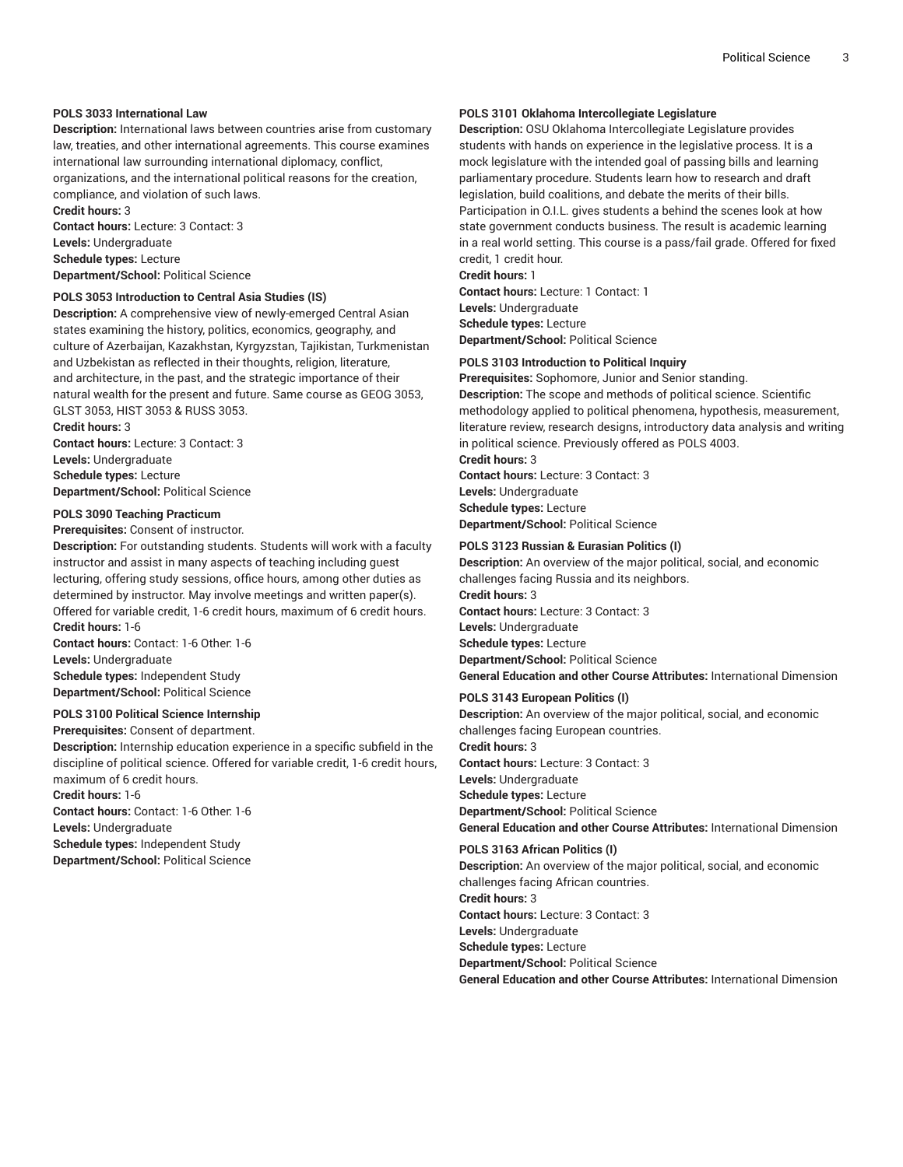## **POLS 3033 International Law**

**Description:** International laws between countries arise from customary law, treaties, and other international agreements. This course examines international law surrounding international diplomacy, conflict,

organizations, and the international political reasons for the creation, compliance, and violation of such laws. **Credit hours:** 3

**Contact hours:** Lecture: 3 Contact: 3 **Levels:** Undergraduate **Schedule types:** Lecture **Department/School:** Political Science

## **POLS 3053 Introduction to Central Asia Studies (IS)**

**Description:** A comprehensive view of newly-emerged Central Asian states examining the history, politics, economics, geography, and culture of Azerbaijan, Kazakhstan, Kyrgyzstan, Tajikistan, Turkmenistan and Uzbekistan as reflected in their thoughts, religion, literature, and architecture, in the past, and the strategic importance of their natural wealth for the present and future. Same course as GEOG 3053, GLST 3053, HIST 3053 & RUSS 3053.

**Credit hours:** 3

**Contact hours:** Lecture: 3 Contact: 3 **Levels:** Undergraduate **Schedule types:** Lecture **Department/School:** Political Science

#### **POLS 3090 Teaching Practicum**

**Prerequisites:** Consent of instructor.

**Description:** For outstanding students. Students will work with a faculty instructor and assist in many aspects of teaching including guest lecturing, offering study sessions, office hours, among other duties as determined by instructor. May involve meetings and written paper(s). Offered for variable credit, 1-6 credit hours, maximum of 6 credit hours. **Credit hours:** 1-6

**Contact hours:** Contact: 1-6 Other: 1-6 **Levels:** Undergraduate **Schedule types:** Independent Study **Department/School:** Political Science

## **POLS 3100 Political Science Internship**

**Prerequisites:** Consent of department.

**Description:** Internship education experience in a specific subfield in the discipline of political science. Offered for variable credit, 1-6 credit hours, maximum of 6 credit hours.

**Credit hours:** 1-6

**Contact hours:** Contact: 1-6 Other: 1-6 **Levels:** Undergraduate

**Schedule types:** Independent Study

**Department/School:** Political Science

## **POLS 3101 Oklahoma Intercollegiate Legislature**

**Description:** OSU Oklahoma Intercollegiate Legislature provides students with hands on experience in the legislative process. It is a mock legislature with the intended goal of passing bills and learning parliamentary procedure. Students learn how to research and draft legislation, build coalitions, and debate the merits of their bills. Participation in O.I.L. gives students a behind the scenes look at how state government conducts business. The result is academic learning in a real world setting. This course is a pass/fail grade. Offered for fixed credit, 1 credit hour.

**Credit hours:** 1

**Contact hours:** Lecture: 1 Contact: 1 **Levels:** Undergraduate **Schedule types:** Lecture **Department/School:** Political Science

## **POLS 3103 Introduction to Political Inquiry**

**Prerequisites:** Sophomore, Junior and Senior standing.

**Description:** The scope and methods of political science. Scientific methodology applied to political phenomena, hypothesis, measurement, literature review, research designs, introductory data analysis and writing in political science. Previously offered as POLS 4003.

**Credit hours:** 3 **Contact hours:** Lecture: 3 Contact: 3 **Levels:** Undergraduate **Schedule types:** Lecture **Department/School:** Political Science

#### **POLS 3123 Russian & Eurasian Politics (I)**

**Description:** An overview of the major political, social, and economic challenges facing Russia and its neighbors. **Credit hours:** 3 **Contact hours:** Lecture: 3 Contact: 3 **Levels:** Undergraduate **Schedule types:** Lecture **Department/School:** Political Science **General Education and other Course Attributes:** International Dimension

#### **POLS 3143 European Politics (I)**

**Description:** An overview of the major political, social, and economic challenges facing European countries. **Credit hours:** 3 **Contact hours:** Lecture: 3 Contact: 3 **Levels:** Undergraduate **Schedule types:** Lecture **Department/School:** Political Science **General Education and other Course Attributes:** International Dimension

#### **POLS 3163 African Politics (I)**

**Description:** An overview of the major political, social, and economic challenges facing African countries. **Credit hours:** 3

**Contact hours:** Lecture: 3 Contact: 3 **Levels:** Undergraduate

**Schedule types:** Lecture

**Department/School:** Political Science

**General Education and other Course Attributes:** International Dimension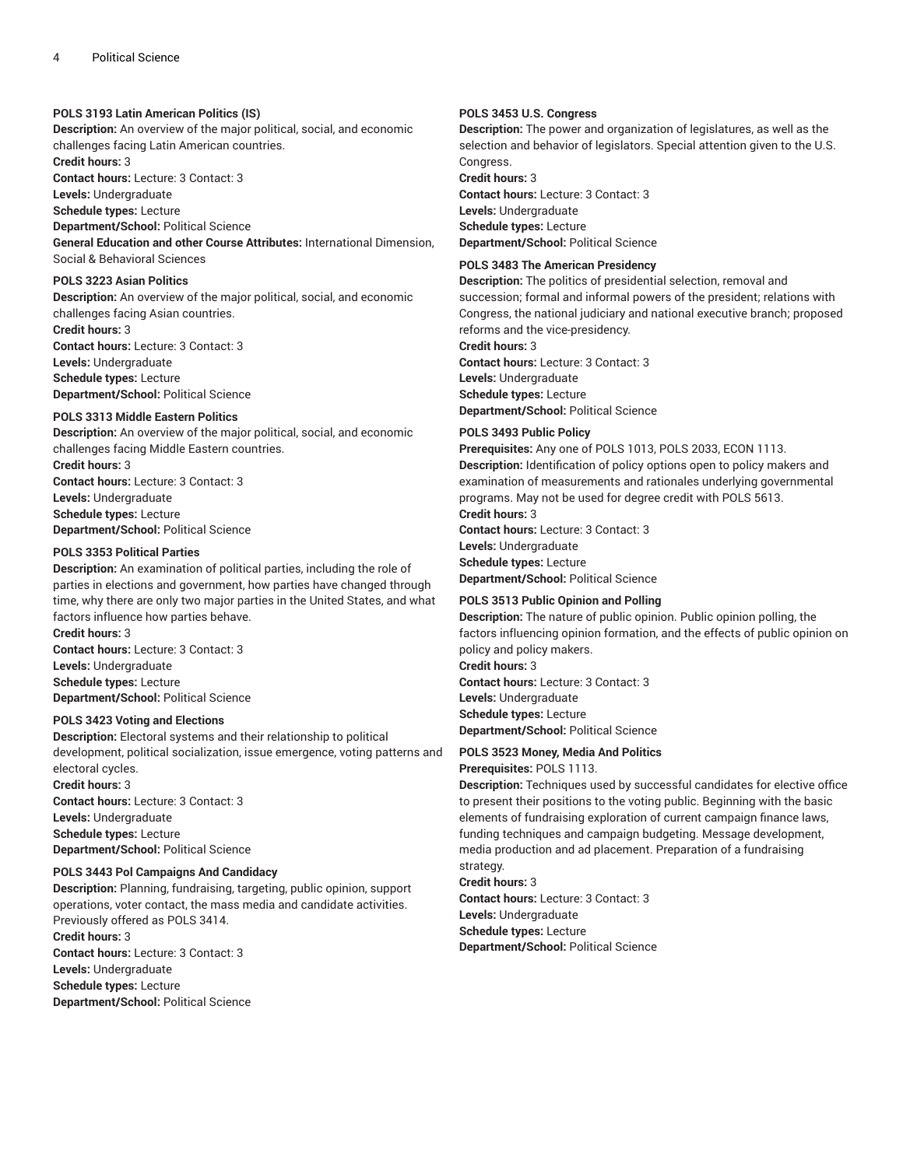## **POLS 3193 Latin American Politics (IS)**

**Description:** An overview of the major political, social, and economic challenges facing Latin American countries.

**Credit hours:** 3

**Contact hours:** Lecture: 3 Contact: 3 **Levels:** Undergraduate

**Schedule types:** Lecture

**Department/School:** Political Science

**General Education and other Course Attributes:** International Dimension, Social & Behavioral Sciences

## **POLS 3223 Asian Politics**

**Description:** An overview of the major political, social, and economic challenges facing Asian countries. **Credit hours:** 3 **Contact hours:** Lecture: 3 Contact: 3

**Levels:** Undergraduate **Schedule types:** Lecture **Department/School:** Political Science

## **POLS 3313 Middle Eastern Politics**

**Description:** An overview of the major political, social, and economic challenges facing Middle Eastern countries. **Credit hours:** 3 **Contact hours:** Lecture: 3 Contact: 3 **Levels:** Undergraduate **Schedule types:** Lecture

**Department/School:** Political Science

## **POLS 3353 Political Parties**

**Description:** An examination of political parties, including the role of parties in elections and government, how parties have changed through time, why there are only two major parties in the United States, and what factors influence how parties behave.

**Credit hours:** 3 **Contact hours:** Lecture: 3 Contact: 3 **Levels:** Undergraduate **Schedule types:** Lecture **Department/School:** Political Science

#### **POLS 3423 Voting and Elections**

**Description:** Electoral systems and their relationship to political development, political socialization, issue emergence, voting patterns and electoral cycles. **Credit hours:** 3 **Contact hours:** Lecture: 3 Contact: 3 **Levels:** Undergraduate

**Schedule types:** Lecture **Department/School:** Political Science

## **POLS 3443 Pol Campaigns And Candidacy**

**Description:** Planning, fundraising, targeting, public opinion, support operations, voter contact, the mass media and candidate activities. Previously offered as POLS 3414. **Credit hours:** 3 **Contact hours:** Lecture: 3 Contact: 3 **Levels:** Undergraduate **Schedule types:** Lecture **Department/School:** Political Science

## **POLS 3453 U.S. Congress**

**Description:** The power and organization of legislatures, as well as the selection and behavior of legislators. Special attention given to the U.S. Congress.

**Credit hours:** 3

**Contact hours:** Lecture: 3 Contact: 3 **Levels:** Undergraduate **Schedule types:** Lecture **Department/School:** Political Science

## **POLS 3483 The American Presidency**

**Description:** The politics of presidential selection, removal and succession; formal and informal powers of the president; relations with Congress, the national judiciary and national executive branch; proposed reforms and the vice-presidency.

**Credit hours:** 3 **Contact hours:** Lecture: 3 Contact: 3 **Levels:** Undergraduate **Schedule types:** Lecture **Department/School:** Political Science

#### **POLS 3493 Public Policy**

**Prerequisites:** Any one of POLS 1013, POLS 2033, ECON 1113. **Description:** Identification of policy options open to policy makers and examination of measurements and rationales underlying governmental programs. May not be used for degree credit with POLS 5613.

**Credit hours:** 3 **Contact hours:** Lecture: 3 Contact: 3 **Levels:** Undergraduate **Schedule types:** Lecture **Department/School:** Political Science

## **POLS 3513 Public Opinion and Polling**

**Description:** The nature of public opinion. Public opinion polling, the factors influencing opinion formation, and the effects of public opinion on policy and policy makers. **Credit hours:** 3 **Contact hours:** Lecture: 3 Contact: 3 **Levels:** Undergraduate **Schedule types:** Lecture **Department/School:** Political Science

## **POLS 3523 Money, Media And Politics**

**Prerequisites:** POLS 1113.

**Description:** Techniques used by successful candidates for elective office to present their positions to the voting public. Beginning with the basic elements of fundraising exploration of current campaign finance laws, funding techniques and campaign budgeting. Message development, media production and ad placement. Preparation of a fundraising strategy.

**Credit hours:** 3 **Contact hours:** Lecture: 3 Contact: 3 **Levels:** Undergraduate **Schedule types:** Lecture **Department/School:** Political Science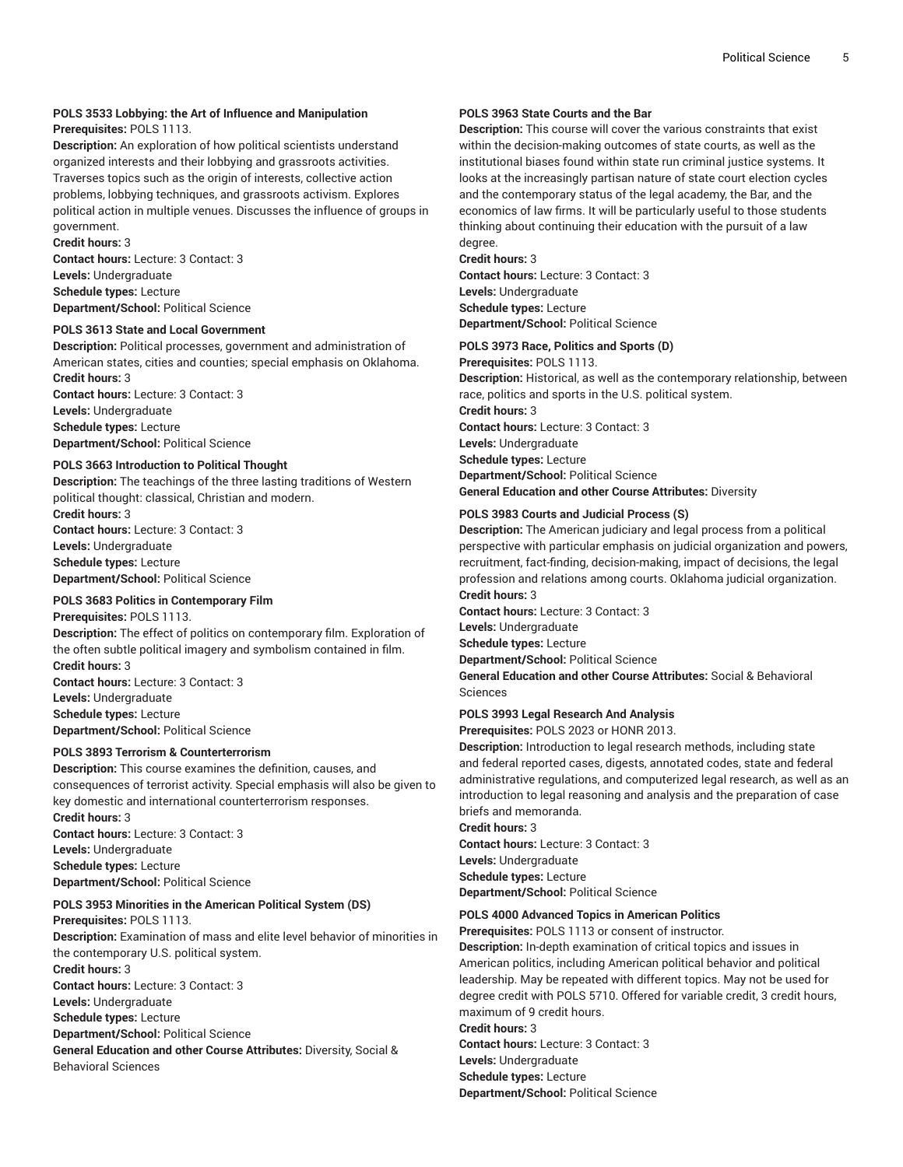## **POLS 3533 Lobbying: the Art of Influence and Manipulation**

## **Prerequisites:** POLS 1113.

**Description:** An exploration of how political scientists understand organized interests and their lobbying and grassroots activities. Traverses topics such as the origin of interests, collective action problems, lobbying techniques, and grassroots activism. Explores political action in multiple venues. Discusses the influence of groups in government.

**Credit hours:** 3 **Contact hours:** Lecture: 3 Contact: 3 **Levels:** Undergraduate **Schedule types:** Lecture **Department/School:** Political Science

## **POLS 3613 State and Local Government**

**Description:** Political processes, government and administration of American states, cities and counties; special emphasis on Oklahoma. **Credit hours:** 3

**Contact hours:** Lecture: 3 Contact: 3 **Levels:** Undergraduate **Schedule types:** Lecture **Department/School:** Political Science

## **POLS 3663 Introduction to Political Thought**

**Description:** The teachings of the three lasting traditions of Western political thought: classical, Christian and modern.

**Credit hours:** 3 **Contact hours:** Lecture: 3 Contact: 3 **Levels:** Undergraduate **Schedule types:** Lecture **Department/School:** Political Science

## **POLS 3683 Politics in Contemporary Film**

**Prerequisites:** POLS 1113. **Description:** The effect of politics on contemporary film. Exploration of the often subtle political imagery and symbolism contained in film. **Credit hours:** 3 **Contact hours:** Lecture: 3 Contact: 3 **Levels:** Undergraduate **Schedule types:** Lecture **Department/School:** Political Science

## **POLS 3893 Terrorism & Counterterrorism**

**Description:** This course examines the definition, causes, and consequences of terrorist activity. Special emphasis will also be given to key domestic and international counterterrorism responses. **Credit hours:** 3 **Contact hours:** Lecture: 3 Contact: 3 **Levels:** Undergraduate **Schedule types:** Lecture **Department/School:** Political Science

## **POLS 3953 Minorities in the American Political System (DS)**

**Prerequisites:** POLS 1113. **Description:** Examination of mass and elite level behavior of minorities in the contemporary U.S. political system. **Credit hours:** 3 **Contact hours:** Lecture: 3 Contact: 3 **Levels:** Undergraduate **Schedule types:** Lecture **Department/School:** Political Science **General Education and other Course Attributes:** Diversity, Social & Behavioral Sciences

## **POLS 3963 State Courts and the Bar**

**Description:** This course will cover the various constraints that exist within the decision-making outcomes of state courts, as well as the institutional biases found within state run criminal justice systems. It looks at the increasingly partisan nature of state court election cycles and the contemporary status of the legal academy, the Bar, and the economics of law firms. It will be particularly useful to those students thinking about continuing their education with the pursuit of a law degree.

**Credit hours:** 3

**Contact hours:** Lecture: 3 Contact: 3 **Levels:** Undergraduate **Schedule types:** Lecture **Department/School:** Political Science

## **POLS 3973 Race, Politics and Sports (D)**

**Prerequisites:** POLS 1113.

**Description:** Historical, as well as the contemporary relationship, between race, politics and sports in the U.S. political system.

**Credit hours:** 3 **Contact hours:** Lecture: 3 Contact: 3 **Levels:** Undergraduate

**Schedule types:** Lecture

**Department/School:** Political Science

**General Education and other Course Attributes:** Diversity

## **POLS 3983 Courts and Judicial Process (S)**

**Description:** The American judiciary and legal process from a political perspective with particular emphasis on judicial organization and powers, recruitment, fact-finding, decision-making, impact of decisions, the legal profession and relations among courts. Oklahoma judicial organization. **Credit hours:** 3

**Contact hours:** Lecture: 3 Contact: 3 **Levels:** Undergraduate **Schedule types:** Lecture **Department/School:** Political Science **General Education and other Course Attributes:** Social & Behavioral Sciences

## **POLS 3993 Legal Research And Analysis**

**Prerequisites:** POLS 2023 or HONR 2013.

**Description:** Introduction to legal research methods, including state and federal reported cases, digests, annotated codes, state and federal administrative regulations, and computerized legal research, as well as an introduction to legal reasoning and analysis and the preparation of case briefs and memoranda.

## **Credit hours:** 3

**Contact hours:** Lecture: 3 Contact: 3 **Levels:** Undergraduate **Schedule types:** Lecture **Department/School:** Political Science

## **POLS 4000 Advanced Topics in American Politics**

**Prerequisites:** POLS 1113 or consent of instructor.

**Description:** In-depth examination of critical topics and issues in American politics, including American political behavior and political leadership. May be repeated with different topics. May not be used for degree credit with POLS 5710. Offered for variable credit, 3 credit hours, maximum of 9 credit hours.

**Credit hours:** 3 **Contact hours:** Lecture: 3 Contact: 3 **Levels:** Undergraduate **Schedule types:** Lecture **Department/School:** Political Science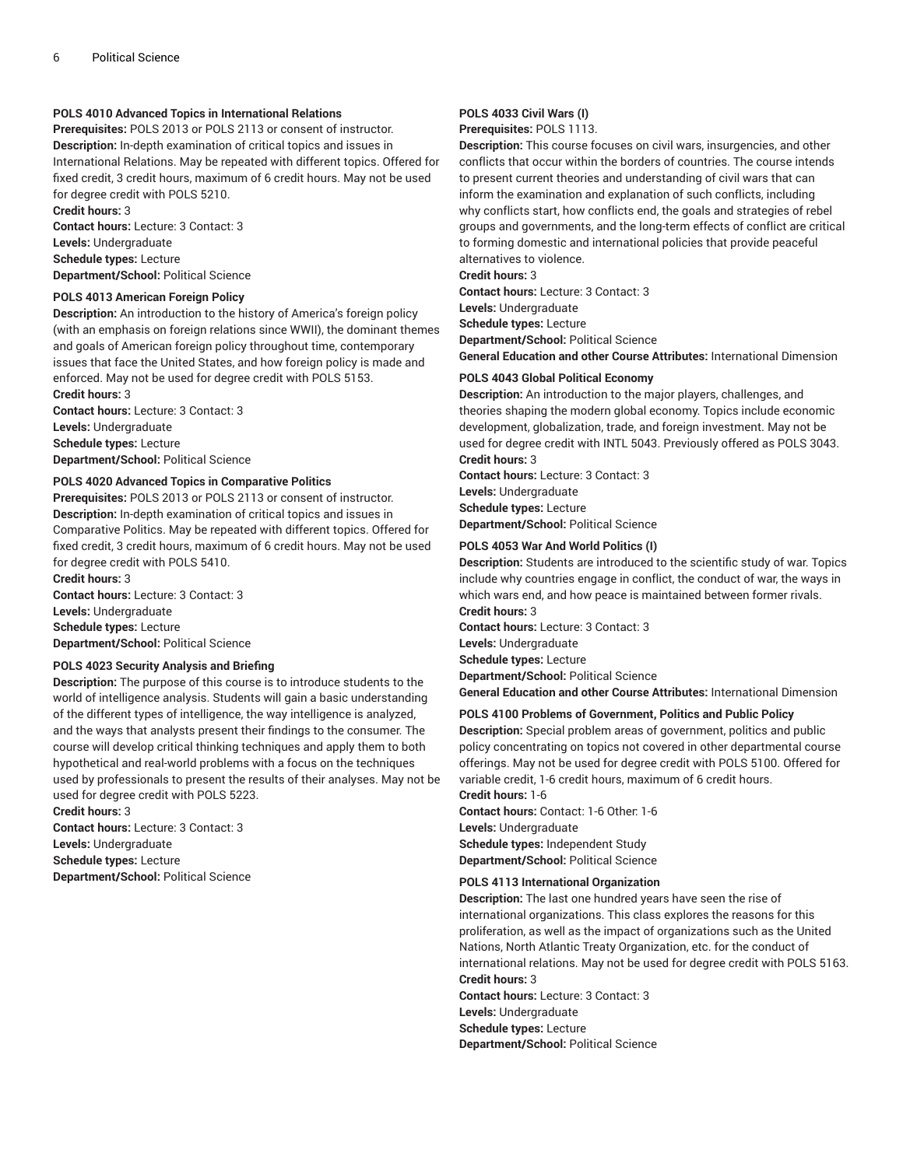## **POLS 4010 Advanced Topics in International Relations**

**Prerequisites:** POLS 2013 or POLS 2113 or consent of instructor. **Description:** In-depth examination of critical topics and issues in International Relations. May be repeated with different topics. Offered for fixed credit, 3 credit hours, maximum of 6 credit hours. May not be used for degree credit with POLS 5210. **Credit hours:** 3

**Contact hours:** Lecture: 3 Contact: 3 **Levels:** Undergraduate **Schedule types:** Lecture **Department/School:** Political Science

## **POLS 4013 American Foreign Policy**

**Description:** An introduction to the history of America's foreign policy (with an emphasis on foreign relations since WWII), the dominant themes and goals of American foreign policy throughout time, contemporary issues that face the United States, and how foreign policy is made and enforced. May not be used for degree credit with POLS 5153. **Credit hours:** 3

**Contact hours:** Lecture: 3 Contact: 3 **Levels:** Undergraduate **Schedule types:** Lecture **Department/School:** Political Science

## **POLS 4020 Advanced Topics in Comparative Politics**

**Prerequisites:** POLS 2013 or POLS 2113 or consent of instructor. **Description:** In-depth examination of critical topics and issues in Comparative Politics. May be repeated with different topics. Offered for fixed credit, 3 credit hours, maximum of 6 credit hours. May not be used for degree credit with POLS 5410.

**Credit hours:** 3 **Contact hours:** Lecture: 3 Contact: 3 **Levels:** Undergraduate **Schedule types:** Lecture **Department/School:** Political Science

## **POLS 4023 Security Analysis and Briefing**

**Description:** The purpose of this course is to introduce students to the world of intelligence analysis. Students will gain a basic understanding of the different types of intelligence, the way intelligence is analyzed, and the ways that analysts present their findings to the consumer. The course will develop critical thinking techniques and apply them to both hypothetical and real-world problems with a focus on the techniques used by professionals to present the results of their analyses. May not be used for degree credit with POLS 5223.

**Credit hours:** 3 **Contact hours:** Lecture: 3 Contact: 3 **Levels:** Undergraduate **Schedule types:** Lecture **Department/School:** Political Science

## **POLS 4033 Civil Wars (I)**

**Prerequisites:** POLS 1113.

**Description:** This course focuses on civil wars, insurgencies, and other conflicts that occur within the borders of countries. The course intends to present current theories and understanding of civil wars that can inform the examination and explanation of such conflicts, including why conflicts start, how conflicts end, the goals and strategies of rebel groups and governments, and the long-term effects of conflict are critical to forming domestic and international policies that provide peaceful alternatives to violence.

#### **Credit hours:** 3

**Contact hours:** Lecture: 3 Contact: 3 **Levels:** Undergraduate **Schedule types:** Lecture **Department/School:** Political Science **General Education and other Course Attributes:** International Dimension

#### **POLS 4043 Global Political Economy**

**Description:** An introduction to the major players, challenges, and theories shaping the modern global economy. Topics include economic development, globalization, trade, and foreign investment. May not be used for degree credit with INTL 5043. Previously offered as POLS 3043. **Credit hours:** 3

**Contact hours:** Lecture: 3 Contact: 3 **Levels:** Undergraduate **Schedule types:** Lecture **Department/School:** Political Science

#### **POLS 4053 War And World Politics (I)**

**Description:** Students are introduced to the scientific study of war. Topics include why countries engage in conflict, the conduct of war, the ways in which wars end, and how peace is maintained between former rivals. **Credit hours:** 3

**Contact hours:** Lecture: 3 Contact: 3 **Levels:** Undergraduate **Schedule types:** Lecture **Department/School:** Political Science **General Education and other Course Attributes:** International Dimension

#### **POLS 4100 Problems of Government, Politics and Public Policy**

**Description:** Special problem areas of government, politics and public policy concentrating on topics not covered in other departmental course offerings. May not be used for degree credit with POLS 5100. Offered for variable credit, 1-6 credit hours, maximum of 6 credit hours. **Credit hours:** 1-6

**Contact hours:** Contact: 1-6 Other: 1-6 **Levels:** Undergraduate **Schedule types:** Independent Study **Department/School:** Political Science

#### **POLS 4113 International Organization**

**Description:** The last one hundred years have seen the rise of international organizations. This class explores the reasons for this proliferation, as well as the impact of organizations such as the United Nations, North Atlantic Treaty Organization, etc. for the conduct of international relations. May not be used for degree credit with POLS 5163. **Credit hours:** 3

**Contact hours:** Lecture: 3 Contact: 3 **Levels:** Undergraduate **Schedule types:** Lecture

**Department/School:** Political Science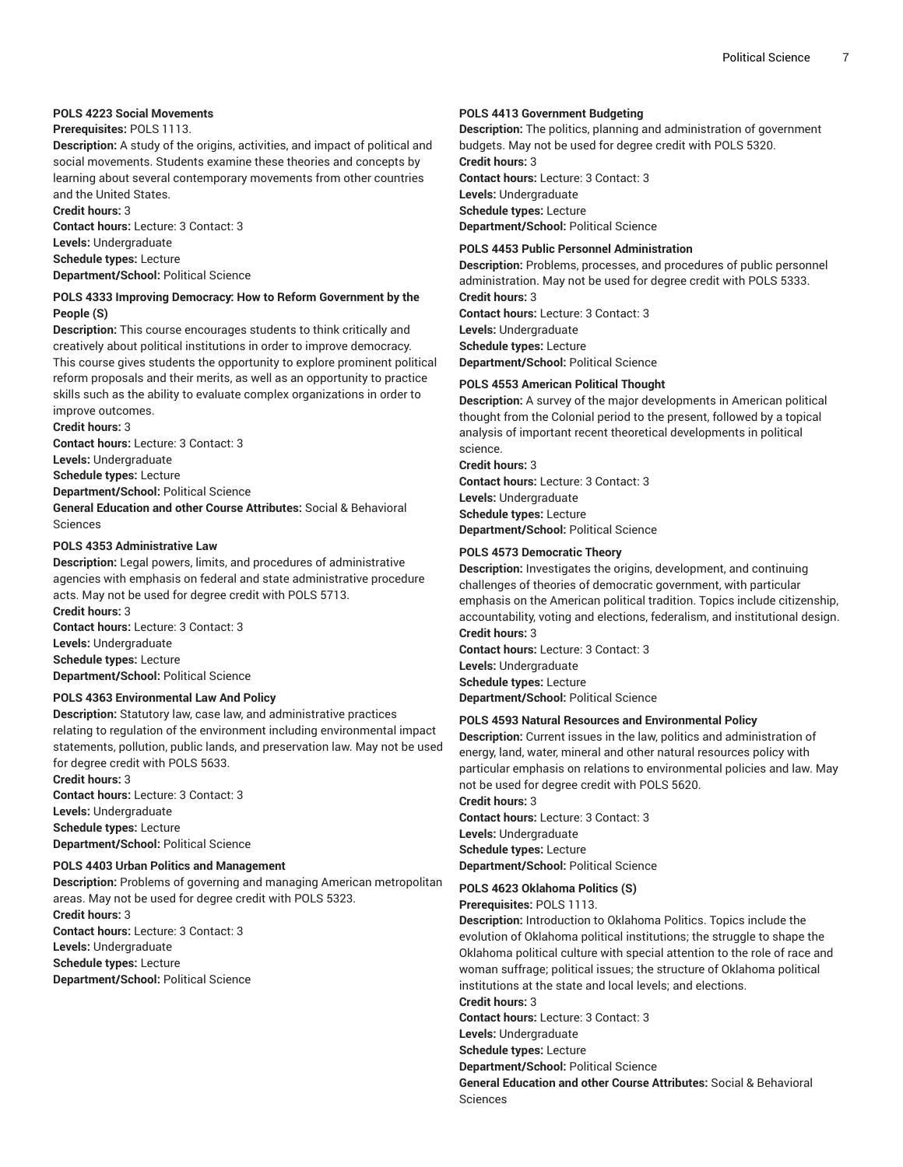## **POLS 4223 Social Movements**

## **Prerequisites:** POLS 1113.

**Description:** A study of the origins, activities, and impact of political and social movements. Students examine these theories and concepts by learning about several contemporary movements from other countries and the United States.

**Credit hours:** 3

**Contact hours:** Lecture: 3 Contact: 3 **Levels:** Undergraduate **Schedule types:** Lecture **Department/School:** Political Science

## **POLS 4333 Improving Democracy: How to Reform Government by the People (S)**

**Description:** This course encourages students to think critically and creatively about political institutions in order to improve democracy. This course gives students the opportunity to explore prominent political reform proposals and their merits, as well as an opportunity to practice skills such as the ability to evaluate complex organizations in order to improve outcomes.

**Credit hours:** 3

**Contact hours:** Lecture: 3 Contact: 3

**Levels:** Undergraduate

**Schedule types:** Lecture

**Department/School:** Political Science

**General Education and other Course Attributes:** Social & Behavioral Sciences

## **POLS 4353 Administrative Law**

**Description:** Legal powers, limits, and procedures of administrative agencies with emphasis on federal and state administrative procedure acts. May not be used for degree credit with POLS 5713. **Credit hours:** 3

**Contact hours:** Lecture: 3 Contact: 3 **Levels:** Undergraduate **Schedule types:** Lecture **Department/School:** Political Science

## **POLS 4363 Environmental Law And Policy**

**Description:** Statutory law, case law, and administrative practices relating to regulation of the environment including environmental impact statements, pollution, public lands, and preservation law. May not be used for degree credit with POLS 5633.

**Credit hours:** 3 **Contact hours:** Lecture: 3 Contact: 3 **Levels:** Undergraduate **Schedule types:** Lecture **Department/School:** Political Science

## **POLS 4403 Urban Politics and Management**

**Description:** Problems of governing and managing American metropolitan areas. May not be used for degree credit with POLS 5323. **Credit hours:** 3 **Contact hours:** Lecture: 3 Contact: 3 **Levels:** Undergraduate **Schedule types:** Lecture **Department/School:** Political Science

## **POLS 4413 Government Budgeting**

**Description:** The politics, planning and administration of government budgets. May not be used for degree credit with POLS 5320. **Credit hours:** 3 **Contact hours:** Lecture: 3 Contact: 3 **Levels:** Undergraduate **Schedule types:** Lecture

**Department/School:** Political Science

### **POLS 4453 Public Personnel Administration**

**Description:** Problems, processes, and procedures of public personnel administration. May not be used for degree credit with POLS 5333.

**Credit hours:** 3 **Contact hours:** Lecture: 3 Contact: 3 **Levels:** Undergraduate **Schedule types:** Lecture **Department/School:** Political Science

#### **POLS 4553 American Political Thought**

**Description:** A survey of the major developments in American political thought from the Colonial period to the present, followed by a topical analysis of important recent theoretical developments in political science. **Credit hours:** 3

**Contact hours:** Lecture: 3 Contact: 3 **Levels:** Undergraduate **Schedule types:** Lecture **Department/School:** Political Science

## **POLS 4573 Democratic Theory**

**Description:** Investigates the origins, development, and continuing challenges of theories of democratic government, with particular emphasis on the American political tradition. Topics include citizenship, accountability, voting and elections, federalism, and institutional design. **Credit hours:** 3

**Contact hours:** Lecture: 3 Contact: 3 **Levels:** Undergraduate **Schedule types:** Lecture **Department/School:** Political Science

## **POLS 4593 Natural Resources and Environmental Policy**

**Description:** Current issues in the law, politics and administration of energy, land, water, mineral and other natural resources policy with particular emphasis on relations to environmental policies and law. May not be used for degree credit with POLS 5620. **Credit hours:** 3

**Contact hours:** Lecture: 3 Contact: 3 **Levels:** Undergraduate **Schedule types:** Lecture **Department/School:** Political Science

## **POLS 4623 Oklahoma Politics (S)**

**Prerequisites:** POLS 1113.

**Description:** Introduction to Oklahoma Politics. Topics include the evolution of Oklahoma political institutions; the struggle to shape the Oklahoma political culture with special attention to the role of race and woman suffrage; political issues; the structure of Oklahoma political institutions at the state and local levels; and elections.

**Credit hours:** 3

**Contact hours:** Lecture: 3 Contact: 3

**Levels:** Undergraduate **Schedule types:** Lecture

**Department/School:** Political Science

**General Education and other Course Attributes:** Social & Behavioral Sciences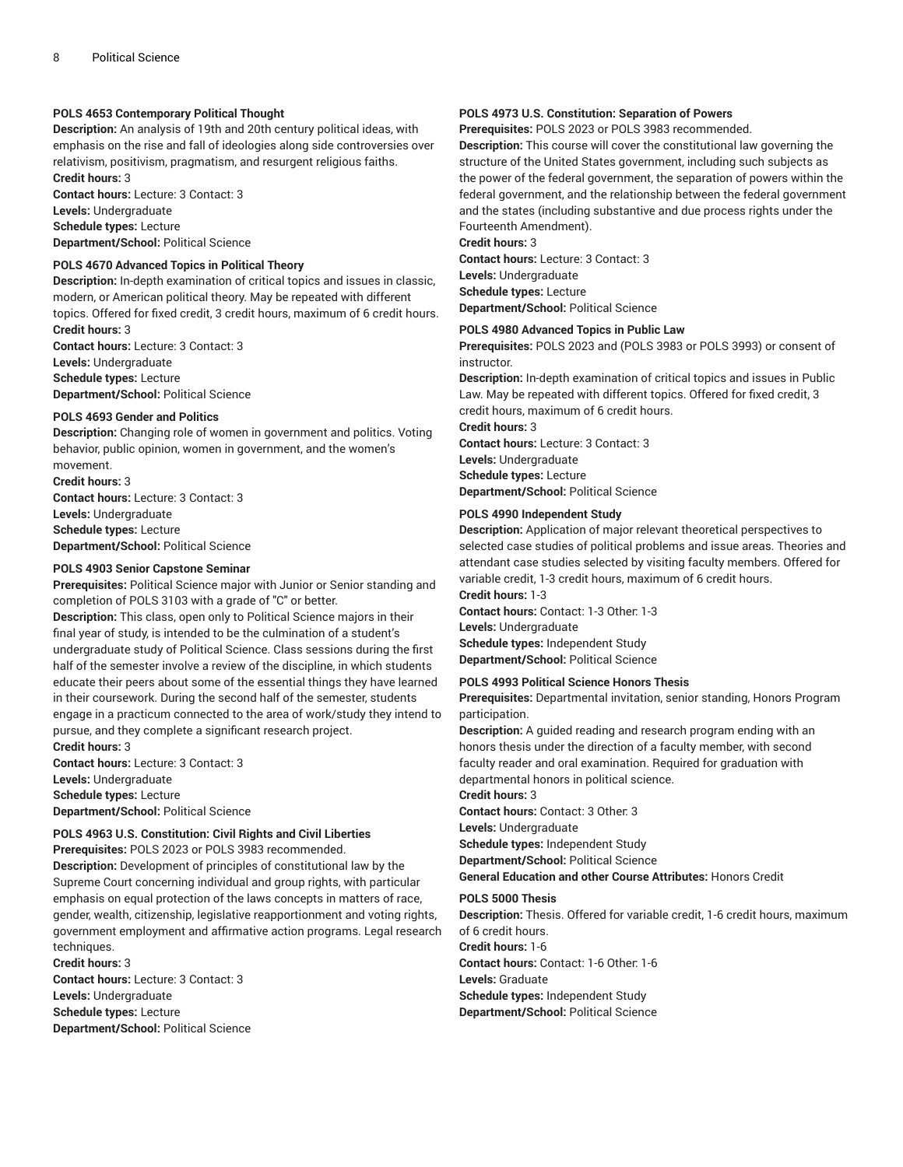## **POLS 4653 Contemporary Political Thought**

**Description:** An analysis of 19th and 20th century political ideas, with emphasis on the rise and fall of ideologies along side controversies over relativism, positivism, pragmatism, and resurgent religious faiths. **Credit hours:** 3

**Contact hours:** Lecture: 3 Contact: 3 **Levels:** Undergraduate

**Schedule types:** Lecture

**Department/School:** Political Science

## **POLS 4670 Advanced Topics in Political Theory**

**Description:** In-depth examination of critical topics and issues in classic, modern, or American political theory. May be repeated with different topics. Offered for fixed credit, 3 credit hours, maximum of 6 credit hours. **Credit hours:** 3

**Contact hours:** Lecture: 3 Contact: 3 **Levels:** Undergraduate **Schedule types:** Lecture

**Department/School:** Political Science

#### **POLS 4693 Gender and Politics**

**Description:** Changing role of women in government and politics. Voting behavior, public opinion, women in government, and the women's movement.

**Credit hours:** 3 **Contact hours:** Lecture: 3 Contact: 3 **Levels:** Undergraduate **Schedule types:** Lecture

**Department/School:** Political Science

## **POLS 4903 Senior Capstone Seminar**

**Prerequisites:** Political Science major with Junior or Senior standing and completion of POLS 3103 with a grade of "C" or better.

**Description:** This class, open only to Political Science majors in their final year of study, is intended to be the culmination of a student's undergraduate study of Political Science. Class sessions during the first half of the semester involve a review of the discipline, in which students educate their peers about some of the essential things they have learned in their coursework. During the second half of the semester, students engage in a practicum connected to the area of work/study they intend to pursue, and they complete a significant research project.

**Credit hours:** 3 **Contact hours:** Lecture: 3 Contact: 3 **Levels:** Undergraduate **Schedule types:** Lecture

**Department/School:** Political Science

## **POLS 4963 U.S. Constitution: Civil Rights and Civil Liberties**

**Prerequisites:** POLS 2023 or POLS 3983 recommended.

**Description:** Development of principles of constitutional law by the Supreme Court concerning individual and group rights, with particular emphasis on equal protection of the laws concepts in matters of race, gender, wealth, citizenship, legislative reapportionment and voting rights, government employment and affirmative action programs. Legal research techniques.

**Credit hours:** 3 **Contact hours:** Lecture: 3 Contact: 3 **Levels:** Undergraduate

**Schedule types:** Lecture **Department/School:** Political Science

## **POLS 4973 U.S. Constitution: Separation of Powers**

**Prerequisites:** POLS 2023 or POLS 3983 recommended.

**Description:** This course will cover the constitutional law governing the structure of the United States government, including such subjects as the power of the federal government, the separation of powers within the federal government, and the relationship between the federal government and the states (including substantive and due process rights under the Fourteenth Amendment).

**Credit hours:** 3 **Contact hours:** Lecture: 3 Contact: 3 **Levels:** Undergraduate **Schedule types:** Lecture **Department/School:** Political Science

#### **POLS 4980 Advanced Topics in Public Law**

**Prerequisites:** POLS 2023 and (POLS 3983 or POLS 3993) or consent of instructor.

**Description:** In-depth examination of critical topics and issues in Public Law. May be repeated with different topics. Offered for fixed credit, 3 credit hours, maximum of 6 credit hours.

**Credit hours:** 3

**Contact hours:** Lecture: 3 Contact: 3 **Levels:** Undergraduate **Schedule types:** Lecture **Department/School:** Political Science

## **POLS 4990 Independent Study**

**Description:** Application of major relevant theoretical perspectives to selected case studies of political problems and issue areas. Theories and attendant case studies selected by visiting faculty members. Offered for variable credit, 1-3 credit hours, maximum of 6 credit hours. **Credit hours:** 1-3

**Contact hours:** Contact: 1-3 Other: 1-3 **Levels:** Undergraduate **Schedule types:** Independent Study **Department/School:** Political Science

## **POLS 4993 Political Science Honors Thesis**

**Prerequisites:** Departmental invitation, senior standing, Honors Program participation.

**Description:** A guided reading and research program ending with an honors thesis under the direction of a faculty member, with second faculty reader and oral examination. Required for graduation with departmental honors in political science.

## **Credit hours:** 3

**Contact hours:** Contact: 3 Other: 3 **Levels:** Undergraduate **Schedule types:** Independent Study **Department/School:** Political Science

**General Education and other Course Attributes:** Honors Credit

#### **POLS 5000 Thesis**

**Description:** Thesis. Offered for variable credit, 1-6 credit hours, maximum of 6 credit hours.

**Credit hours:** 1-6 **Contact hours:** Contact: 1-6 Other: 1-6 **Levels:** Graduate **Schedule types:** Independent Study **Department/School:** Political Science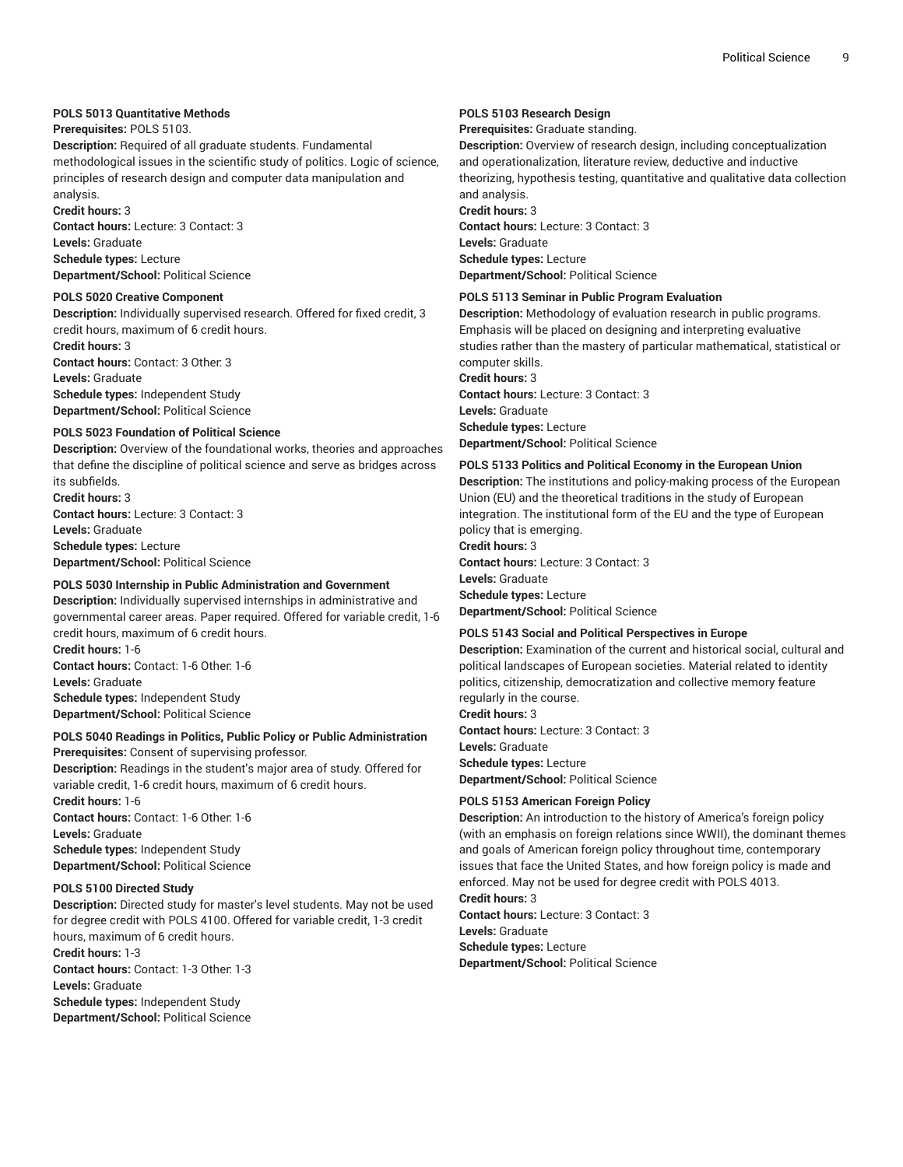## **POLS 5013 Quantitative Methods**

## **Prerequisites:** POLS 5103.

**Description:** Required of all graduate students. Fundamental methodological issues in the scientific study of politics. Logic of science, principles of research design and computer data manipulation and analysis.

**Credit hours:** 3

**Contact hours:** Lecture: 3 Contact: 3 **Levels:** Graduate **Schedule types:** Lecture **Department/School:** Political Science

## **POLS 5020 Creative Component**

**Description:** Individually supervised research. Offered for fixed credit, 3 credit hours, maximum of 6 credit hours.

**Credit hours:** 3 **Contact hours:** Contact: 3 Other: 3 **Levels:** Graduate **Schedule types:** Independent Study **Department/School:** Political Science

## **POLS 5023 Foundation of Political Science**

**Description:** Overview of the foundational works, theories and approaches that define the discipline of political science and serve as bridges across its subfields.

**Credit hours:** 3 **Contact hours:** Lecture: 3 Contact: 3 **Levels:** Graduate **Schedule types:** Lecture **Department/School:** Political Science

## **POLS 5030 Internship in Public Administration and Government**

**Description:** Individually supervised internships in administrative and governmental career areas. Paper required. Offered for variable credit, 1-6 credit hours, maximum of 6 credit hours.

**Credit hours:** 1-6 **Contact hours:** Contact: 1-6 Other: 1-6 **Levels:** Graduate **Schedule types:** Independent Study **Department/School:** Political Science

## **POLS 5040 Readings in Politics, Public Policy or Public Administration**

**Prerequisites:** Consent of supervising professor.

**Description:** Readings in the student's major area of study. Offered for variable credit, 1-6 credit hours, maximum of 6 credit hours.

**Credit hours:** 1-6 **Contact hours:** Contact: 1-6 Other: 1-6 **Levels:** Graduate **Schedule types:** Independent Study **Department/School:** Political Science

## **POLS 5100 Directed Study**

**Description:** Directed study for master's level students. May not be used for degree credit with POLS 4100. Offered for variable credit, 1-3 credit hours, maximum of 6 credit hours.

**Credit hours:** 1-3 **Contact hours:** Contact: 1-3 Other: 1-3 **Levels:** Graduate **Schedule types:** Independent Study **Department/School:** Political Science

## **POLS 5103 Research Design**

**Prerequisites:** Graduate standing.

**Description:** Overview of research design, including conceptualization and operationalization, literature review, deductive and inductive theorizing, hypothesis testing, quantitative and qualitative data collection and analysis. **Credit hours:** 3

**Contact hours:** Lecture: 3 Contact: 3 **Levels:** Graduate **Schedule types:** Lecture **Department/School:** Political Science

## **POLS 5113 Seminar in Public Program Evaluation**

**Description:** Methodology of evaluation research in public programs. Emphasis will be placed on designing and interpreting evaluative studies rather than the mastery of particular mathematical, statistical or computer skills.

**Credit hours:** 3 **Contact hours:** Lecture: 3 Contact: 3 **Levels:** Graduate **Schedule types:** Lecture **Department/School:** Political Science

## **POLS 5133 Politics and Political Economy in the European Union**

**Description:** The institutions and policy-making process of the European Union (EU) and the theoretical traditions in the study of European integration. The institutional form of the EU and the type of European policy that is emerging. **Credit hours:** 3

**Contact hours:** Lecture: 3 Contact: 3 **Levels:** Graduate **Schedule types:** Lecture **Department/School:** Political Science

## **POLS 5143 Social and Political Perspectives in Europe**

**Description:** Examination of the current and historical social, cultural and political landscapes of European societies. Material related to identity politics, citizenship, democratization and collective memory feature regularly in the course.

**Credit hours:** 3 **Contact hours:** Lecture: 3 Contact: 3 **Levels:** Graduate **Schedule types:** Lecture **Department/School:** Political Science

## **POLS 5153 American Foreign Policy**

**Description:** An introduction to the history of America's foreign policy (with an emphasis on foreign relations since WWII), the dominant themes and goals of American foreign policy throughout time, contemporary issues that face the United States, and how foreign policy is made and enforced. May not be used for degree credit with POLS 4013.

**Credit hours:** 3 **Contact hours:** Lecture: 3 Contact: 3 **Levels:** Graduate **Schedule types:** Lecture **Department/School:** Political Science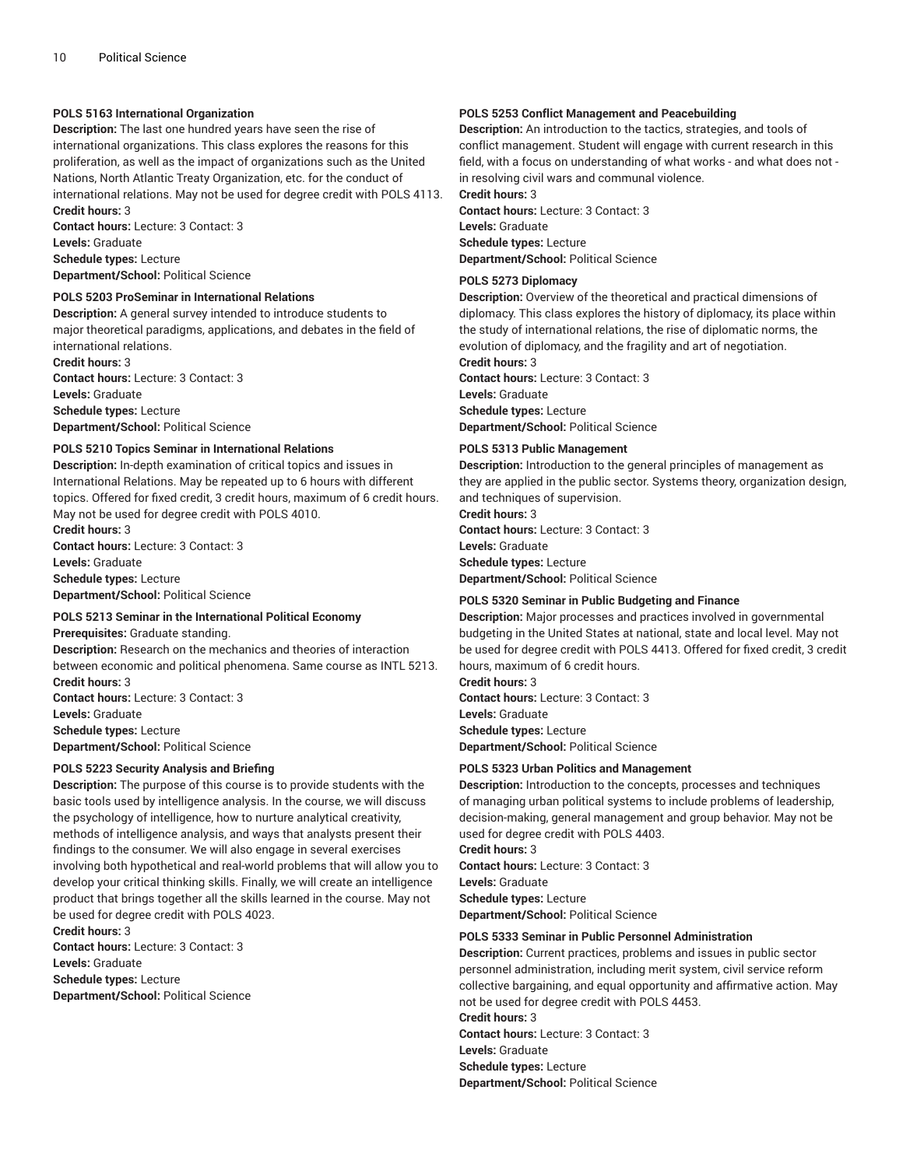## **POLS 5163 International Organization**

**Description:** The last one hundred years have seen the rise of international organizations. This class explores the reasons for this proliferation, as well as the impact of organizations such as the United Nations, North Atlantic Treaty Organization, etc. for the conduct of international relations. May not be used for degree credit with POLS 4113. **Credit hours:** 3

**Contact hours:** Lecture: 3 Contact: 3 **Levels:** Graduate **Schedule types:** Lecture **Department/School:** Political Science

#### **POLS 5203 ProSeminar in International Relations**

**Description:** A general survey intended to introduce students to major theoretical paradigms, applications, and debates in the field of international relations.

**Credit hours:** 3 **Contact hours:** Lecture: 3 Contact: 3 **Levels:** Graduate **Schedule types:** Lecture **Department/School:** Political Science

#### **POLS 5210 Topics Seminar in International Relations**

**Description:** In-depth examination of critical topics and issues in International Relations. May be repeated up to 6 hours with different topics. Offered for fixed credit, 3 credit hours, maximum of 6 credit hours. May not be used for degree credit with POLS 4010.

**Credit hours:** 3 **Contact hours:** Lecture: 3 Contact: 3 **Levels:** Graduate **Schedule types:** Lecture

**Department/School:** Political Science

## **POLS 5213 Seminar in the International Political Economy**

**Prerequisites:** Graduate standing.

**Description:** Research on the mechanics and theories of interaction between economic and political phenomena. Same course as INTL 5213. **Credit hours:** 3 **Contact hours:** Lecture: 3 Contact: 3

**Levels:** Graduate **Schedule types:** Lecture **Department/School:** Political Science

## **POLS 5223 Security Analysis and Briefing**

**Description:** The purpose of this course is to provide students with the basic tools used by intelligence analysis. In the course, we will discuss the psychology of intelligence, how to nurture analytical creativity, methods of intelligence analysis, and ways that analysts present their findings to the consumer. We will also engage in several exercises involving both hypothetical and real-world problems that will allow you to develop your critical thinking skills. Finally, we will create an intelligence product that brings together all the skills learned in the course. May not be used for degree credit with POLS 4023.

**Credit hours:** 3 **Contact hours:** Lecture: 3 Contact: 3 **Levels:** Graduate **Schedule types:** Lecture **Department/School:** Political Science

## **POLS 5253 Conflict Management and Peacebuilding**

**Description:** An introduction to the tactics, strategies, and tools of conflict management. Student will engage with current research in this field, with a focus on understanding of what works - and what does not in resolving civil wars and communal violence.

**Credit hours:** 3

**Contact hours:** Lecture: 3 Contact: 3 **Levels:** Graduate **Schedule types:** Lecture **Department/School:** Political Science

#### **POLS 5273 Diplomacy**

**Description:** Overview of the theoretical and practical dimensions of diplomacy. This class explores the history of diplomacy, its place within the study of international relations, the rise of diplomatic norms, the evolution of diplomacy, and the fragility and art of negotiation. **Credit hours:** 3

**Contact hours:** Lecture: 3 Contact: 3 **Levels:** Graduate **Schedule types:** Lecture **Department/School:** Political Science

#### **POLS 5313 Public Management**

**Description:** Introduction to the general principles of management as they are applied in the public sector. Systems theory, organization design, and techniques of supervision.

**Credit hours:** 3 **Contact hours:** Lecture: 3 Contact: 3 **Levels:** Graduate **Schedule types:** Lecture **Department/School:** Political Science

#### **POLS 5320 Seminar in Public Budgeting and Finance**

**Description:** Major processes and practices involved in governmental budgeting in the United States at national, state and local level. May not be used for degree credit with POLS 4413. Offered for fixed credit, 3 credit hours, maximum of 6 credit hours.

**Credit hours:** 3 **Contact hours:** Lecture: 3 Contact: 3 **Levels:** Graduate **Schedule types:** Lecture **Department/School:** Political Science

## **POLS 5323 Urban Politics and Management**

**Description:** Introduction to the concepts, processes and techniques of managing urban political systems to include problems of leadership, decision-making, general management and group behavior. May not be used for degree credit with POLS 4403. **Credit hours:** 3

**Contact hours:** Lecture: 3 Contact: 3 **Levels:** Graduate **Schedule types:** Lecture **Department/School:** Political Science

#### **POLS 5333 Seminar in Public Personnel Administration**

**Description:** Current practices, problems and issues in public sector personnel administration, including merit system, civil service reform collective bargaining, and equal opportunity and affirmative action. May not be used for degree credit with POLS 4453. **Credit hours:** 3 **Contact hours:** Lecture: 3 Contact: 3 **Levels:** Graduate **Schedule types:** Lecture **Department/School:** Political Science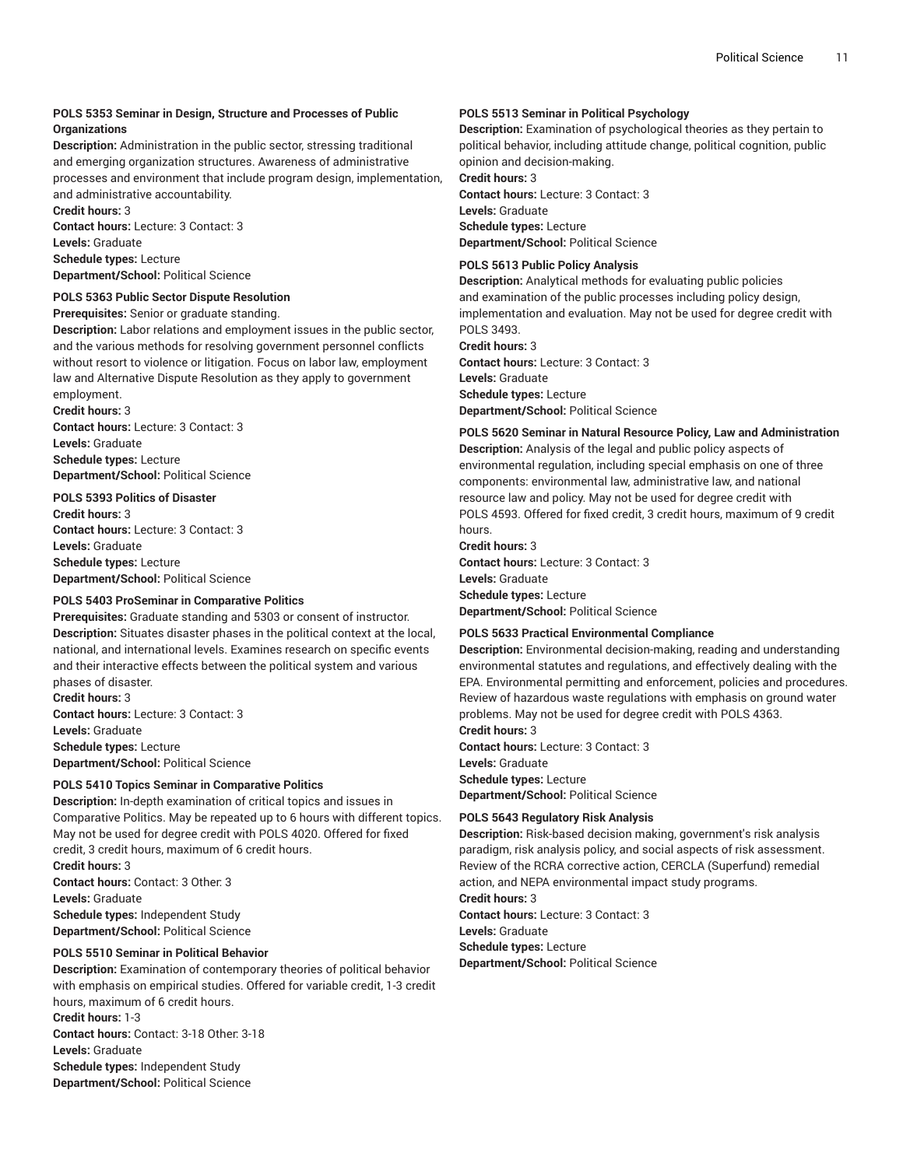## **POLS 5353 Seminar in Design, Structure and Processes of Public Organizations**

**Description:** Administration in the public sector, stressing traditional and emerging organization structures. Awareness of administrative processes and environment that include program design, implementation, and administrative accountability. **Credit hours:** 3

**Contact hours:** Lecture: 3 Contact: 3 **Levels:** Graduate **Schedule types:** Lecture **Department/School:** Political Science

## **POLS 5363 Public Sector Dispute Resolution**

**Prerequisites:** Senior or graduate standing.

**Description:** Labor relations and employment issues in the public sector, and the various methods for resolving government personnel conflicts without resort to violence or litigation. Focus on labor law, employment law and Alternative Dispute Resolution as they apply to government employment.

**Credit hours:** 3

**Contact hours:** Lecture: 3 Contact: 3 **Levels:** Graduate **Schedule types:** Lecture **Department/School:** Political Science

## **POLS 5393 Politics of Disaster**

**Credit hours:** 3 **Contact hours:** Lecture: 3 Contact: 3 **Levels:** Graduate **Schedule types:** Lecture **Department/School:** Political Science

## **POLS 5403 ProSeminar in Comparative Politics**

**Prerequisites:** Graduate standing and 5303 or consent of instructor. **Description:** Situates disaster phases in the political context at the local, national, and international levels. Examines research on specific events and their interactive effects between the political system and various phases of disaster.

**Credit hours:** 3 **Contact hours:** Lecture: 3 Contact: 3 **Levels:** Graduate **Schedule types:** Lecture **Department/School:** Political Science

## **POLS 5410 Topics Seminar in Comparative Politics**

**Description:** In-depth examination of critical topics and issues in Comparative Politics. May be repeated up to 6 hours with different topics. May not be used for degree credit with POLS 4020. Offered for fixed credit, 3 credit hours, maximum of 6 credit hours. **Credit hours:** 3 **Contact hours:** Contact: 3 Other: 3 **Levels:** Graduate **Schedule types:** Independent Study **Department/School:** Political Science

**POLS 5510 Seminar in Political Behavior**

**Description:** Examination of contemporary theories of political behavior with emphasis on empirical studies. Offered for variable credit, 1-3 credit hours, maximum of 6 credit hours. **Credit hours:** 1-3

**Contact hours:** Contact: 3-18 Other: 3-18 **Levels:** Graduate **Schedule types:** Independent Study **Department/School:** Political Science

## **POLS 5513 Seminar in Political Psychology**

**Description:** Examination of psychological theories as they pertain to political behavior, including attitude change, political cognition, public opinion and decision-making.

## **Credit hours:** 3

**Contact hours:** Lecture: 3 Contact: 3 **Levels:** Graduate **Schedule types:** Lecture **Department/School:** Political Science

**POLS 5613 Public Policy Analysis**

**Description:** Analytical methods for evaluating public policies and examination of the public processes including policy design, implementation and evaluation. May not be used for degree credit with POLS 3493.

**Credit hours:** 3 **Contact hours:** Lecture: 3 Contact: 3 **Levels:** Graduate **Schedule types:** Lecture **Department/School:** Political Science

**POLS 5620 Seminar in Natural Resource Policy, Law and Administration Description:** Analysis of the legal and public policy aspects of environmental regulation, including special emphasis on one of three components: environmental law, administrative law, and national resource law and policy. May not be used for degree credit with POLS 4593. Offered for fixed credit, 3 credit hours, maximum of 9 credit hours.

**Credit hours:** 3 **Contact hours:** Lecture: 3 Contact: 3 **Levels:** Graduate **Schedule types:** Lecture **Department/School:** Political Science

## **POLS 5633 Practical Environmental Compliance**

**Description:** Environmental decision-making, reading and understanding environmental statutes and regulations, and effectively dealing with the EPA. Environmental permitting and enforcement, policies and procedures. Review of hazardous waste regulations with emphasis on ground water problems. May not be used for degree credit with POLS 4363.

**Credit hours:** 3 **Contact hours:** Lecture: 3 Contact: 3 **Levels:** Graduate **Schedule types:** Lecture **Department/School:** Political Science

## **POLS 5643 Regulatory Risk Analysis**

**Description:** Risk-based decision making, government's risk analysis paradigm, risk analysis policy, and social aspects of risk assessment. Review of the RCRA corrective action, CERCLA (Superfund) remedial action, and NEPA environmental impact study programs. **Credit hours:** 3

**Contact hours:** Lecture: 3 Contact: 3 **Levels:** Graduate **Schedule types:** Lecture **Department/School:** Political Science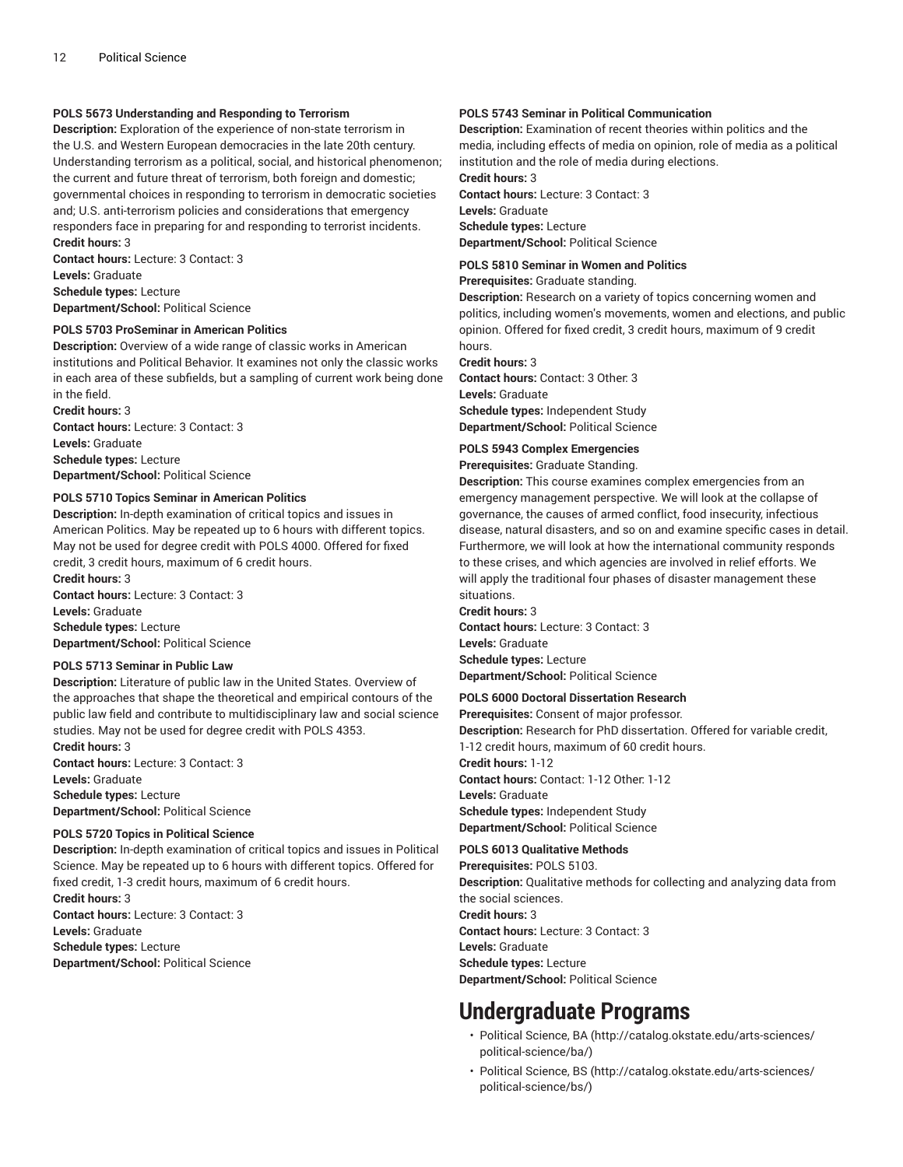## **POLS 5673 Understanding and Responding to Terrorism**

**Description:** Exploration of the experience of non-state terrorism in the U.S. and Western European democracies in the late 20th century. Understanding terrorism as a political, social, and historical phenomenon; the current and future threat of terrorism, both foreign and domestic; governmental choices in responding to terrorism in democratic societies and; U.S. anti-terrorism policies and considerations that emergency responders face in preparing for and responding to terrorist incidents. **Credit hours:** 3

**Contact hours:** Lecture: 3 Contact: 3 **Levels:** Graduate **Schedule types:** Lecture **Department/School:** Political Science

## **POLS 5703 ProSeminar in American Politics**

**Description:** Overview of a wide range of classic works in American institutions and Political Behavior. It examines not only the classic works in each area of these subfields, but a sampling of current work being done in the field.

**Credit hours:** 3 **Contact hours:** Lecture: 3 Contact: 3 **Levels:** Graduate **Schedule types:** Lecture **Department/School:** Political Science

#### **POLS 5710 Topics Seminar in American Politics**

**Description:** In-depth examination of critical topics and issues in American Politics. May be repeated up to 6 hours with different topics. May not be used for degree credit with POLS 4000. Offered for fixed credit, 3 credit hours, maximum of 6 credit hours.

**Credit hours:** 3 **Contact hours:** Lecture: 3 Contact: 3 **Levels:** Graduate **Schedule types:** Lecture **Department/School:** Political Science

## **POLS 5713 Seminar in Public Law**

**Description:** Literature of public law in the United States. Overview of the approaches that shape the theoretical and empirical contours of the public law field and contribute to multidisciplinary law and social science studies. May not be used for degree credit with POLS 4353.

**Credit hours:** 3 **Contact hours:** Lecture: 3 Contact: 3 **Levels:** Graduate

**Schedule types:** Lecture

**Department/School:** Political Science

## **POLS 5720 Topics in Political Science**

**Description:** In-depth examination of critical topics and issues in Political Science. May be repeated up to 6 hours with different topics. Offered for fixed credit, 1-3 credit hours, maximum of 6 credit hours.

**Credit hours:** 3 **Contact hours:** Lecture: 3 Contact: 3 **Levels:** Graduate **Schedule types:** Lecture **Department/School:** Political Science

## **POLS 5743 Seminar in Political Communication**

**Description:** Examination of recent theories within politics and the media, including effects of media on opinion, role of media as a political institution and the role of media during elections.

**Credit hours:** 3

**Contact hours:** Lecture: 3 Contact: 3 **Levels:** Graduate **Schedule types:** Lecture **Department/School:** Political Science

## **POLS 5810 Seminar in Women and Politics**

**Prerequisites:** Graduate standing.

**Description:** Research on a variety of topics concerning women and politics, including women's movements, women and elections, and public opinion. Offered for fixed credit, 3 credit hours, maximum of 9 credit hours.

**Credit hours:** 3

**Contact hours:** Contact: 3 Other: 3 **Levels:** Graduate **Schedule types:** Independent Study **Department/School:** Political Science

#### **POLS 5943 Complex Emergencies**

**Prerequisites:** Graduate Standing.

**Description:** This course examines complex emergencies from an emergency management perspective. We will look at the collapse of governance, the causes of armed conflict, food insecurity, infectious disease, natural disasters, and so on and examine specific cases in detail. Furthermore, we will look at how the international community responds to these crises, and which agencies are involved in relief efforts. We will apply the traditional four phases of disaster management these situations.

**Credit hours:** 3 **Contact hours:** Lecture: 3 Contact: 3 **Levels:** Graduate

**Schedule types:** Lecture **Department/School:** Political Science

#### **POLS 6000 Doctoral Dissertation Research**

**Prerequisites:** Consent of major professor. **Description:** Research for PhD dissertation. Offered for variable credit,

1-12 credit hours, maximum of 60 credit hours.

**Credit hours:** 1-12 **Contact hours:** Contact: 1-12 Other: 1-12 **Levels:** Graduate **Schedule types:** Independent Study **Department/School:** Political Science

#### **POLS 6013 Qualitative Methods**

**Prerequisites:** POLS 5103. **Description:** Qualitative methods for collecting and analyzing data from the social sciences. **Credit hours:** 3 **Contact hours:** Lecture: 3 Contact: 3 **Levels:** Graduate **Schedule types:** Lecture **Department/School:** Political Science

## **Undergraduate Programs**

- Political [Science,](http://catalog.okstate.edu/arts-sciences/political-science/ba/) BA [\(http://catalog.okstate.edu/arts-sciences/](http://catalog.okstate.edu/arts-sciences/political-science/ba/) [political-science/ba/](http://catalog.okstate.edu/arts-sciences/political-science/ba/))
- Political [Science,](http://catalog.okstate.edu/arts-sciences/political-science/bs/) BS [\(http://catalog.okstate.edu/arts-sciences/](http://catalog.okstate.edu/arts-sciences/political-science/bs/) [political-science/bs/](http://catalog.okstate.edu/arts-sciences/political-science/bs/))